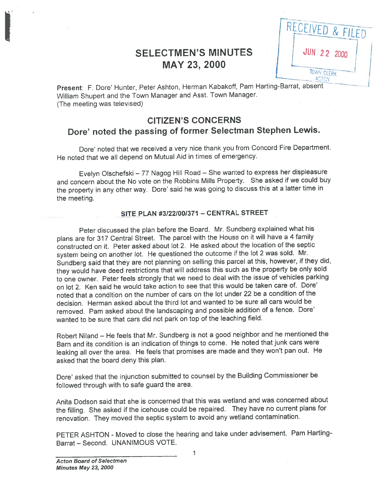# SELECTMEN'S MINUTES | | JUN 22 2000 MAY 23, 2000

RECEIVED & FILED TOWN CLERK **ACTON** 

Present: F. Dore' Hunter, Peter Ashton, Herman Kabakoff, Pam Harting-Barrat, absent William Shupert and the Town Manager and Asst. Town Manager. (The meeting was televised)

## CITIZEN'S CONCERNS Dore' noted the passing of former Selectman Stephen Lewis.

Dote' noted that we received <sup>a</sup> very nice thank you from Concord Fire Department. He noted that we all depend on Mutual Aid in times of emergency.

Evelyn Olschefski — <sup>77</sup> Nagog Hill Road — She wanted to express her displeasure and concern about the No vote on the Robbins Mills Property. She asked if we could buy the property in any other way. Dore' said he was going to discuss this at <sup>a</sup> latter time in the meeting.

### SITE PLAN #3/22/00/371 — CENTRAL STREET

Peter discussed the <sup>p</sup>lan before the Board. Mr. Sundberg explained what his <sup>p</sup>lans are for <sup>317</sup> Central Street. The parce<sup>l</sup> with the House on it will have <sup>a</sup> <sup>4</sup> family constructed on it. Peter asked about lot 2. He asked about the location of the septic system being on another lot. He questioned the outcome if the lot <sup>2</sup> was sold. Mr. Sundberg said that they are not <sup>p</sup>lanning on selling this parce<sup>l</sup> at this, however, if they did, they would have deed restrictions that will address this such as the property be only sold to one owner. Peter feels strongly that we need to deal with the issue of vehicles parking on lot 2. Ken said he would take action to see that this would be taken care of. Dore' noted that <sup>a</sup> condition on the number of cars on the lot under <sup>22</sup> be <sup>a</sup> condition of the decision. Herman asked about the third lot and wanted to be sure all cars would be removed. Pam asked about the landscaping and possible addition of a fence. Dore' wanted to be sure that cars did not park on top of the leaching field.

Robert Niland — He feels that Mr. Sundberg is not <sup>a</sup> goo<sup>d</sup> neighbor and he mentioned the Barn and its condition is an indication of things to come. He noted that junk cars were leaking all over the area. He feels that promises are made and they won't pan out. He asked that the board deny this plan.

Dote' asked that the injunction submitted to counsel by the Building Commissioner be followed through with to safe guard the area.

Anita Dodson said that she is concerned that this was wetland and was concerned about the filling. She asked if the icehouse could be repaired. They have no current <sup>p</sup>lans for renovation. They moved the septic system to avoid any wetland contamination.

PETER ASHTON - Moved to close the hearing and take under advisement. Pam Hatting Barrat — Second. UNANIMOUS VOTE.

1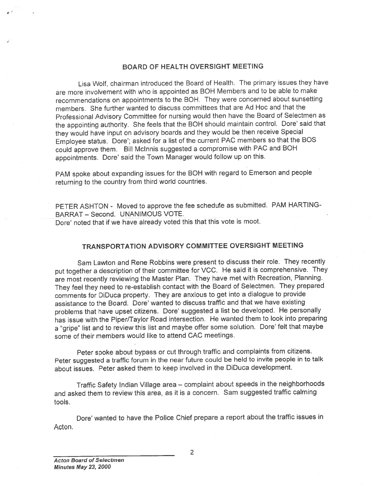### BOARD OF HEALTH OVERSIGHT MEETING

Lisa Wolf, chairman introduced the Board of Health. The primary issues they have are more involvement with who is appointed as BOH Members and to be able to make recommendations on appointments to the BOH. They were concerned about sunsetting members. She further wanted to discuss committees that are Ad Hoc and that the Professional Advisory Committee for nursing would then have the Board of Selectmen as the appointing authority. She feels that the BOH should maintain control. Dote' said that they would have input on advisory boards and they would be then receive Special Employee status. Dore'; asked for <sup>a</sup> list of the current PAC members so that the BOS could approve them. Bill Mclnnis suggested <sup>a</sup> compromise with PAC and BOH appointments. Dore' said the Town Manager would follow up on this.

PAM spoke about expanding issues for the BOH with regar<sup>d</sup> to Emerson and people returning to the country from third world countries.

PETER ASHTON - Moved to approve the fee schedule as submitted. PAM HARTING-BARRAT — Second. UNANIMOUS VOTE. Dore' noted that if we have already voted this that this vote is moot.

## TRANSPORTATION ADVISORY COMMITTEE OVERSIGHT MEETING

Sam Lawton and Rene Robbins were presen<sup>t</sup> to discuss their role. They recently pu<sup>t</sup> together <sup>a</sup> description of their committee for VCC. He said it is comprehensive. They are most recently reviewing the Master Plan. They have met with Recreation, Planning. They feel they need to re-establish contact with the Board of Selectmen. They prepare<sup>d</sup> comments for DiDuca property. They are anxious to ge<sup>t</sup> into <sup>a</sup> dialogue to provide assistance to the Board. Dore' wanted to discuss traffic and that we have existing problems that have upset citizens. Dore' suggested a list be developed. He personally has issue with the Piper/Taylor Road intersection. He wanted them to look into preparing a "gripe" list and to review this list and maybe offer some solution. Dore' felt that maybe some of their members would like to attend CAC meetings.

Peter spoke about bypass or cut through traffic and complaints from citizens. Peter suggested <sup>a</sup> traffic forum in the near future could be held to invite people in to talk about issues. Peter asked them to keep involved in the DiDuca development.

Traffic Safety Indian Village area — complaint about speeds in the neighborhoods and asked them to review this area, as it is <sup>a</sup> concern. Sam suggested traffic calming tools.

Dote' wanted to have the Police Chief prepare <sup>a</sup> repor<sup>t</sup> about the traffic issues in Acton.

2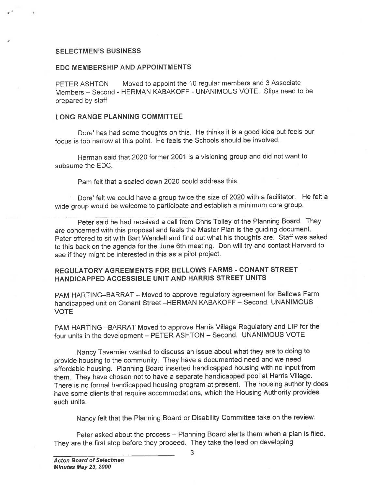### SELECTMEN'S BUSINESS

### EDC MEMBERSHIP AND APPOINTMENTS

PETER ASHTON Moved to appoint the <sup>10</sup> regular members and <sup>3</sup> Associate Members — Second - HERMAN KABAKOFF - UNANIMOUS VOTE. Slips need to be prepared by staff

### LONG RANGE PLANNING COMMITTEE

Dore' has had some thoughts on this. He thinks it is <sup>a</sup> goo<sup>d</sup> idea but feels our focus is too narrow at this point. He feels the Schools should be involved.

Herman said that 2020 former 2001 is <sup>a</sup> visioning group and did not want to subsume the EDO.

Pam felt that <sup>a</sup> scaled down 2020 could address this.

Dore' felt we could have <sup>a</sup> group twice the size of <sup>2020</sup> with <sup>a</sup> facilitator. He felt <sup>a</sup> wide group would be welcome to participate and establish <sup>a</sup> minimum core group.

Peter said he had received <sup>a</sup> call from Chris Tolley of the Planning Board. They are concerned with this proposa<sup>l</sup> and feels the Master Plan is the guiding document. Peter offered to sit with Bart Wendell and find out what his thoughts are. Staff was asked to this back on the agenda for the June 6th meeting. Don will try and contact Harvard to see if they might be interested in this as <sup>a</sup> <sup>p</sup>ilot project.

## REGULATORY AGREEMENTS FOR BELLOWS FARMS - CONANT STREET HANDICAPPED ACCESSIBLE UNIT AND HARRIS STREET UNITS

PAM HARTING—BARRAT — Moved to approve regulatory agreemen<sup>t</sup> for Bellows Farm handicapped unit on Conant Street —HERMAN KABAKOFF — Second. UNANIMOUS VOTE

PAM HARTING —BARRAT Moved to approve Harris Village Regulatory and LIP for the four units in the development — PETER ASHTON — Second. UNANIMOUS VOTE

Nancy Tavernier wanted to discuss an issue about what they are to doing to provide housing to the community. They have <sup>a</sup> documented need and we need affordable housing. Planning Board inserted handicapped housing with no input from them. They have chosen not to have <sup>a</sup> separate handicapped poo<sup>l</sup> at Harris Village. There is no formal handicapped housing program at present. The housing authority does have some clients that require accommodations, which the Housing Authority provides such units.

Nancy felt that the Planning Board or Disability Committee take on the review.

Peter asked about the process — Planning Board alerts them when <sup>a</sup> <sup>p</sup>lan is filed. They are the first stop before they proceed. They take the lead on developing

3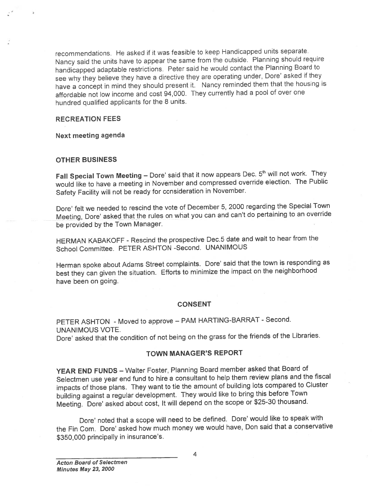recommendations. He asked if it was feasible to keep Handicapped units separate. Nancy said the units have to appear the same from the outside. Planning should require handicapped adaptable restrictions. Peter said he would contact the Planning Board to see why they believe they have <sup>a</sup> directive they are operating under, Dore' asked if they have <sup>a</sup> concep<sup>t</sup> in mind they should presen<sup>t</sup> it. Nancy reminded them that the housing is affordable not low income and cost 94,000. They currently had a pool of over one hundred qualified applicants for the <sup>8</sup> units.

### RECREATION FEES

Next meeting agenda

### OTHER BUSINESS

Fall Special Town Meeting  $-$  Dore' said that it now appears Dec.  $5<sup>th</sup>$  will not work. They would like to have <sup>a</sup> meeting in November and compresse<sup>d</sup> override election. The Public Safety Facility will not be ready for consideration in November.

Dore' felt we needed to rescind the vote of December 5, <sup>2000</sup> regarding the Special Town Meeting, Dote' asked that the rules on what you can and can't do pertaining to an override be provided by the Town Manager.

HERMAN KABAKOFF -Rescind the prospective Dec.5 date and wait to hear from the School Committee. PETER ASHTON -Second. UNANIMOUS

Herman spoke about Adams Street complaints. Dore' said that the town is responding as best they can <sup>g</sup>iven the situation. Efforts to minimize the impact on the neighborhood have been on going.

#### **CONSENT**

PETER ASHTON - Moved to approve - PAM HARTING-BARRAT - Second. UNANIMOUS VOTE.

Dore' asked that the condition of not being on the grass for the friends of the Libraries.

## TOWN MANAGER'S REPORT

YEAR END FUNDS — Walter Foster, Planning Board member asked that Board of Selectmen use year end fund to hire <sup>a</sup> consultant to help them review <sup>p</sup>lans and the fiscal impacts of those <sup>p</sup>lans. They want to tie the amount of building lots compare<sup>d</sup> to Cluster building against <sup>a</sup> regular development. They would like to bring this before Town Meeting. Dore' asked about cost, It will depend on the scope or \$25-30 thousand.

Dore' noted that a scope will need to be defined. Dore' would like to speak with the Fin Com. Dore' asked how much money we would have, Don said that a conservative \$350,000 principally in insurance's.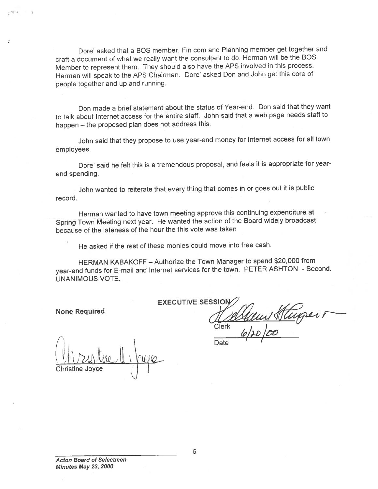Dore' asked that a BOS member, Fin com and Planning member get together and craft <sup>a</sup> document of what we really want the consultant to do. Herman will be the BOS Member to represen<sup>t</sup> them. They should also have the APS involved in this process. Herman will spea<sup>k</sup> to the APS Chairman. Dote' asked Don and John ge<sup>t</sup> this core of people together and up and running.

Don made <sup>a</sup> brief statement about the status of Year-end. Don said that they want to talk about Internet access for the entire staff. John said that <sup>a</sup> web page needs staff to happen — the propose<sup>d</sup> <sup>p</sup>lan does not address this.

John said that they propose to use year-en<sup>d</sup> money for Internet access for all town employees.

Dore' said he felt this is a tremendous proposal, and feels it is appropriate for yearend spending.

John wanted to reiterate that every thing that comes in or goes out it is public record.

Herman wanted to have town meeting approve this continuing expenditure at Spring Town Meeting next year. He wanted the action of the Board widely broadcast because of the lateness of the hour the this vote was taken

He asked if the rest of these monies could move into free cash.

HERMAN KABAKOFF — Authorize the Town Manager to spend \$20,000 from year-en<sup>d</sup> funds for E-mail and Internet services for the town. PETER ASHTON - Second. UNANIMOUS VOTE.

None Required

 $-45 - 2$ 

EXECUTIVE SESSIQI Cl̃erk l  $100$ 

Christine Joyce  $\bigcup$ 

**Date**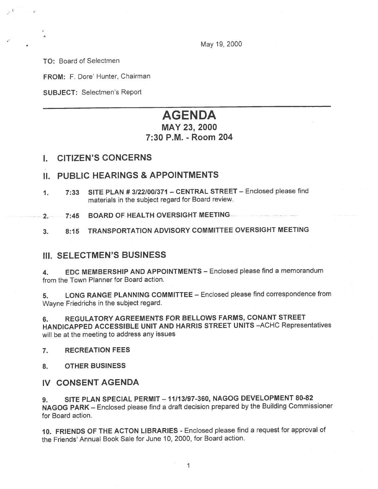May 19, 2000

TO: Board of Selectmen

\*

FROM: F. Dore' Hunter, Chairman

SUBJECT: Selectmen's Report

# AGENDA MAY 23, 2000 7:30 P.M. - Room 204

## I. CITiZEN'S CONCERNS

## II. PUBLIC HEARINGS & APPOINTMENTS

- 1. 7:33 SITE PLAN #3122/00/371 CENTRAL STREET Enclosed <sup>p</sup>lease find materials in the subject regard for Board review.
- 2. 7:45 BOARD OF HEALTH OVERSIGHT MEETING.
- 3. 8:15 TRANSPORTATION ADVISORY COMMITTEE OVERSIGHT MEETING

## III. SELECTMEN'S BUSINESS

4. EDC MEMBERSHIP AND APPOINTMENTS — Enclosed <sup>p</sup>lease find <sup>a</sup> memorandum from the Town Planner for Board action.

5. LONG RANGE PLANNING COMMITTEE — Enclosed <sup>p</sup>lease find correspondence from Wayne Friedrichs in the subject regard.

6. REGULATORY AGREEMENTS FOR BELLOWS FARMS, CONANT STREET HANDICAPPED ACCESSIBLE UNIT AND HARRIS STREET UNITS —ACHC Representatives will be at the meeting to address any issues

7. RECREATION FEES

8. OTHER BUSINESS

## IV CONSENT AGENDA

9. SITE PLAN SPECIAL PERMIT — 11/13/97-360, NAGOG DEVELOPMENT 80-82 NAGOG PARK — Enclosed <sup>p</sup>lease find <sup>a</sup> draft decision prepare<sup>d</sup> by the Building Commissioner for Board action.

10. FRIENDS OF THE ACTON LIBRARIES - Enclosed <sup>p</sup>lease find <sup>a</sup> reques<sup>t</sup> for approva<sup>l</sup> of the Friends' Annual Book Sale for June 10, 2000, for Board action.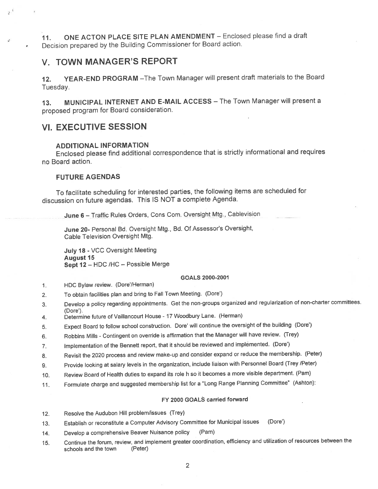11. ONE ACTON PLACE SITE PLAN AMENDMENT - Enclosed please find a draft Decision prepare<sup>d</sup> by the Building Commissioner for Board action.

## V. TOWN MANAGER'S REPORT

12. YEAR-END PROGRAM —The Town Manager will presen<sup>t</sup> draft materials to the Board Tuesday.

13. MUNICIPAL INTERNET AND E-MAIL ACCESS—The Town Managerwill presen<sup>t</sup> <sup>a</sup> propose<sup>d</sup> program for Board consideration.

## VI. EXECUTIVE SESSION

### ADDITIONAL INFORMATION

Enclosed <sup>p</sup>lease find additional correspondence that is strictly informational and requires no Board action.

### FUTURE AGENDAS

To facilitate scheduling for interested parties, the following items are scheduled for discussion on future agendas. This IS NOT <sup>a</sup> complete Agenda.

June 6 - Traffic Rules Orders, Cons Com. Oversight Mtg., Cablevision

June 20- Personal Bd. Oversight Mtg., Bd. Of Assessor's Oversight, Cable Television Oversight Mtg.

July <sup>18</sup> - VCC Oversight Meeting **August 15** Sept 12 - HDC /HC - Possible Merge

#### GOALS 2000-2001

- 1. HDC Bylaw review. (Dare/Herman)
- 2. To obtain facilities <sup>p</sup>lan and bring to Fall Town Meeting. (Dare')
- 3. Develop <sup>a</sup> policy regarding appointments. Get the non-groups organized and regularization of non-charter committees. (Dare').
- 4. Determine future of Vaillancourt House <sup>17</sup> Woodbury Lane. (Herman)
- 5. Expect Board to follow school construction. Dare' will continue the oversight of the building (Dore')
- 6. Robbins Mills -Contingent on override is affirmation that the Manager will have review. (Trey)
- 7. Implementation of the Bennett report, that it should be reviewed and implemented. (Dore')
- 8. Revisit the <sup>2020</sup> process and review make-up and consider expan<sup>d</sup> or reduce the membership. (Peter)
- 9. Provide looking at salary levels in the organization, include liaison with Personnel Board (Trey /Peter)
- 10. Review Board of Health duties to expan<sup>d</sup> its role <sup>h</sup> so it becomes <sup>a</sup> more visible department. (Pam)
- 11. Formulate charge and suggested membership list for <sup>a</sup> "Long Range Planning Committee" (Ashton):

#### FY 2000 GOALS carried forward

- 12. Resolve the Audubon Hill problem/issues (Trey)
- 13. Establish or reconstitute <sup>a</sup> Computer Advisory Committee for Municipal issues (Dare')
- 14. Develop <sup>a</sup> comprehensive Beaver Nuisance policy (Pam)
- 15. Continue the forum, review, and implement greater coordination, efficiency and utilization of resources between the schools and the town (Peter)